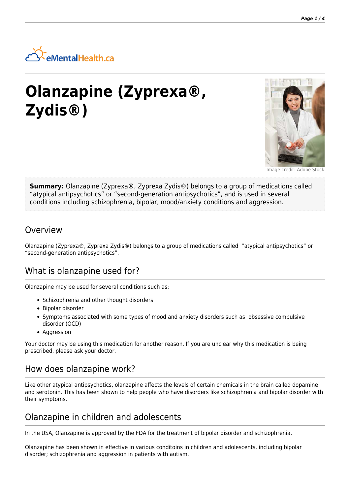

# **Olanzapine (Zyprexa®, Zydis®)**



Image credit: Adobe Stock

**Summary:** Olanzapine (Zyprexa®, Zyprexa Zydis®) belongs to a group of medications called "atypical antipsychotics" or "second-generation antipsychotics", and is used in several conditions including schizophrenia, bipolar, mood/anxiety conditions and aggression.

### **Overview**

Olanzapine (Zyprexa®, Zyprexa Zydis®) belongs to a group of medications called "atypical antipsychotics" or "second-generation antipsychotics".

## What is olanzapine used for?

Olanzapine may be used for several conditions such as:

- Schizophrenia and other thought disorders
- Bipolar disorder
- Symptoms associated with some types of mood and anxiety disorders such as obsessive compulsive disorder (OCD)
- Aggression

Your doctor may be using this medication for another reason. If you are unclear why this medication is being prescribed, please ask your doctor.

### How does olanzapine work?

Like other atypical antipsychotics, olanzapine affects the levels of certain chemicals in the brain called dopamine and serotonin. This has been shown to help people who have disorders like schizophrenia and bipolar disorder with their symptoms.

## Olanzapine in children and adolescents

In the USA, Olanzapine is approved by the FDA for the treatment of bipolar disorder and schizophrenia.

Olanzapine has been shown in effective in various conditoins in children and adolescents, including bipolar disorder; schizophrenia and aggression in patients with autism.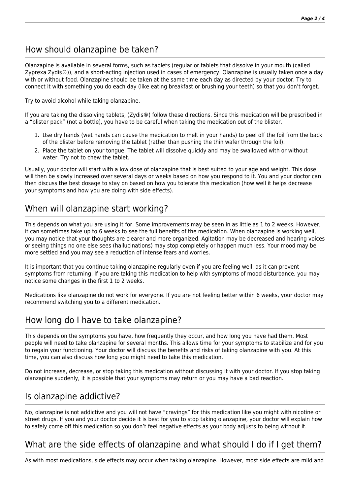# How should olanzapine be taken?

Olanzapine is available in several forms, such as tablets (regular or tablets that dissolve in your mouth (called Zyprexa Zydis®)), and a short-acting injection used in cases of emergency. Olanzapine is usually taken once a day with or without food. Olanzapine should be taken at the same time each day as directed by your doctor. Try to connect it with something you do each day (like eating breakfast or brushing your teeth) so that you don't forget.

Try to avoid alcohol while taking olanzapine.

If you are taking the dissolving tablets, (Zydis®) follow these directions. Since this medication will be prescribed in a "blister pack" (not a bottle), you have to be careful when taking the medication out of the blister.

- 1. Use dry hands (wet hands can cause the medication to melt in your hands) to peel off the foil from the back of the blister before removing the tablet (rather than pushing the thin wafer through the foil).
- 2. Place the tablet on your tongue. The tablet will dissolve quickly and may be swallowed with or without water. Try not to chew the tablet.

Usually, your doctor will start with a low dose of olanzapine that is best suited to your age and weight. This dose will then be slowly increased over several days or weeks based on how you respond to it. You and your doctor can then discuss the best dosage to stay on based on how you tolerate this medication (how well it helps decrease your symptoms and how you are doing with side effects).

## When will olanzapine start working?

This depends on what you are using it for. Some improvements may be seen in as little as 1 to 2 weeks. However, it can sometimes take up to 6 weeks to see the full benefits of the medication. When olanzapine is working well, you may notice that your thoughts are clearer and more organized. Agitation may be decreased and hearing voices or seeing things no one else sees (hallucinations) may stop completely or happen much less. Your mood may be more settled and you may see a reduction of intense fears and worries.

It is important that you continue taking olanzapine regularly even if you are feeling well, as it can prevent symptoms from returning. If you are taking this medication to help with symptoms of mood disturbance, you may notice some changes in the first 1 to 2 weeks.

Medications like olanzapine do not work for everyone. If you are not feeling better within 6 weeks, your doctor may recommend switching you to a different medication.

## How long do I have to take olanzapine?

This depends on the symptoms you have, how frequently they occur, and how long you have had them. Most people will need to take olanzapine for several months. This allows time for your symptoms to stabilize and for you to regain your functioning. Your doctor will discuss the benefits and risks of taking olanzapine with you. At this time, you can also discuss how long you might need to take this medication.

Do not increase, decrease, or stop taking this medication without discussing it with your doctor. If you stop taking olanzapine suddenly, it is possible that your symptoms may return or you may have a bad reaction.

### Is olanzapine addictive?

No, olanzapine is not addictive and you will not have "cravings" for this medication like you might with nicotine or street drugs. If you and your doctor decide it is best for you to stop taking olanzapine, your doctor will explain how to safely come off this medication so you don't feel negative effects as your body adjusts to being without it.

## What are the side effects of olanzapine and what should I do if I get them?

As with most medications, side effects may occur when taking olanzapine. However, most side effects are mild and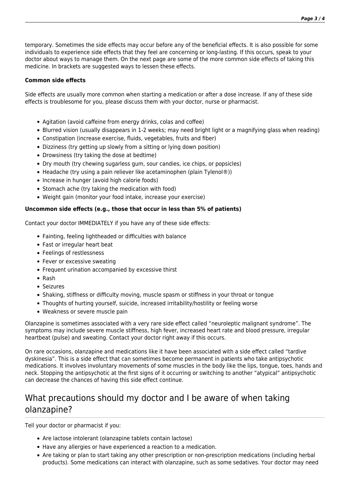temporary. Sometimes the side effects may occur before any of the beneficial effects. It is also possible for some individuals to experience side effects that they feel are concerning or long-lasting. If this occurs, speak to your doctor about ways to manage them. On the next page are some of the more common side effects of taking this medicine. In brackets are suggested ways to lessen these effects.

#### **Common side effects**

Side effects are usually more common when starting a medication or after a dose increase. If any of these side effects is troublesome for you, please discuss them with your doctor, nurse or pharmacist.

- Agitation (avoid caffeine from energy drinks, colas and coffee)
- Blurred vision (usually disappears in 1-2 weeks; may need bright light or a magnifying glass when reading)
- Constipation (increase exercise, fluids, vegetables, fruits and fiber)
- Dizziness (try getting up slowly from a sitting or lying down position)
- Drowsiness (try taking the dose at bedtime)
- Dry mouth (try chewing sugarless gum, sour candies, ice chips, or popsicles)
- Headache (try using a pain reliever like acetaminophen (plain Tylenol®))
- Increase in hunger (avoid high calorie foods)
- Stomach ache (try taking the medication with food)
- Weight gain (monitor your food intake, increase your exercise)

#### **Uncommon side effects (e.g., those that occur in less than 5% of patients)**

Contact your doctor IMMEDIATELY if you have any of these side effects:

- Fainting, feeling lightheaded or difficulties with balance
- Fast or irregular heart beat
- Feelings of restlessness
- Fever or excessive sweating
- Frequent urination accompanied by excessive thirst
- Rash
- Seizures
- Shaking, stiffness or difficulty moving, muscle spasm or stiffness in your throat or tongue
- Thoughts of hurting yourself, suicide, increased irritability/hostility or feeling worse
- Weakness or severe muscle pain

Olanzapine is sometimes associated with a very rare side effect called "neuroleptic malignant syndrome". The symptoms may include severe muscle stiffness, high fever, increased heart rate and blood pressure, irregular heartbeat (pulse) and sweating. Contact your doctor right away if this occurs.

On rare occasions, olanzapine and medications like it have been associated with a side effect called "tardive dyskinesia". This is a side effect that can sometimes become permanent in patients who take antipsychotic medications. It involves involuntary movements of some muscles in the body like the lips, tongue, toes, hands and neck. Stopping the antipsychotic at the first signs of it occurring or switching to another "atypical" antipsychotic can decrease the chances of having this side effect continue.

# What precautions should my doctor and I be aware of when taking olanzapine?

Tell your doctor or pharmacist if you:

- Are lactose intolerant (olanzapine tablets contain lactose)
- Have any allergies or have experienced a reaction to a medication.
- Are taking or plan to start taking any other prescription or non-prescription medications (including herbal products). Some medications can interact with olanzapine, such as some sedatives. Your doctor may need